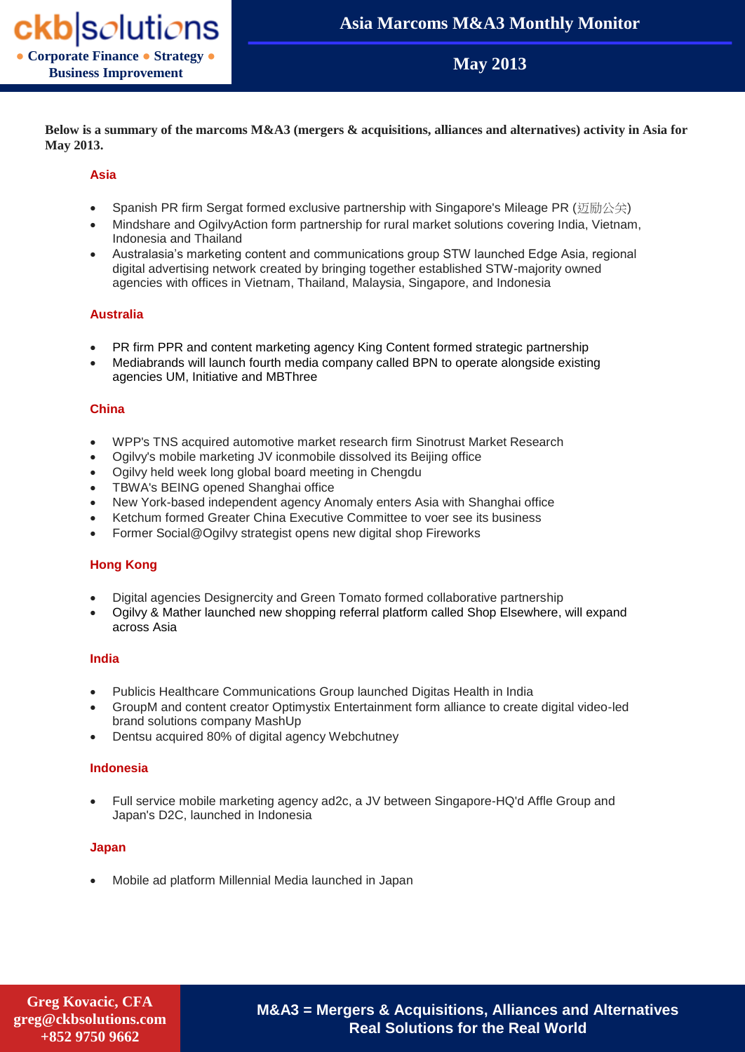**May 2013**

**Below is a summary of the marcoms M&A3 (mergers & acquisitions, alliances and alternatives) activity in Asia for May 2013.**

## **Asia**

- Spanish PR firm Sergat formed exclusive partnership with Singapore's Mileage PR (迈励公关)
- Mindshare and OgilvyAction form partnership for rural market solutions covering India, Vietnam, Indonesia and Thailand
- Australasia's marketing content and communications group STW launched Edge Asia, regional digital advertising network created by bringing together established STW-majority owned agencies with offices in Vietnam, Thailand, Malaysia, Singapore, and Indonesia

# **Australia**

- PR firm PPR and content marketing agency King Content formed strategic partnership
- Mediabrands will launch fourth media company called BPN to operate alongside existing agencies UM, Initiative and MBThree

## **China**

- WPP's TNS acquired automotive market research firm Sinotrust Market Research
- Ogilvy's mobile marketing JV iconmobile dissolved its Beijing office
- Ogilvy held week long global board meeting in Chengdu
- TBWA's BEING opened Shanghai office
- New York-based independent agency Anomaly enters Asia with Shanghai office
- Ketchum formed Greater China Executive Committee to voer see its business
- Former Social@Ogilvy strategist opens new digital shop Fireworks

## **Hong Kong**

- Digital agencies Designercity and Green Tomato formed collaborative partnership
- Ogilvy & Mather launched new shopping referral platform called Shop Elsewhere, will expand across Asia

## **India**

- Publicis Healthcare Communications Group launched Digitas Health in India
- GroupM and content creator Optimystix Entertainment form alliance to create digital video-led brand solutions company MashUp
- Dentsu acquired 80% of digital agency Webchutney

## **Indonesia**

 Full service mobile marketing agency ad2c, a JV between Singapore-HQ'd Affle Group and Japan's D2C, launched in Indonesia

## **Japan**

Mobile ad platform Millennial Media launched in Japan